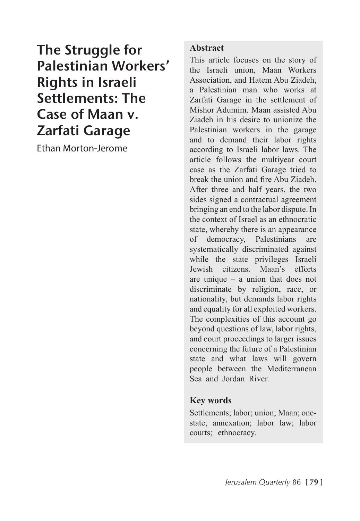# The Struggle for Palestinian Workers' Rights in Israeli Settlements: The Case of Maan v. Zarfati Garage

Ethan Morton-Jerome

#### **Abstract**

This article focuses on the story of the Israeli union, Maan Workers Association, and Hatem Abu Ziadeh, a Palestinian man who works at Zarfati Garage in the settlement of Mishor Adumim. Maan assisted Abu Ziadeh in his desire to unionize the Palestinian workers in the garage and to demand their labor rights according to Israeli labor laws. The article follows the multiyear court case as the Zarfati Garage tried to break the union and fire Abu Ziadeh. After three and half years, the two sides signed a contractual agreement bringing an end to the labor dispute. In the context of Israel as an ethnocratic state, whereby there is an appearance of democracy, Palestinians are systematically discriminated against while the state privileges Israeli Jewish citizens. Maan's efforts are unique – a union that does not discriminate by religion, race, or nationality, but demands labor rights and equality for all exploited workers. The complexities of this account go beyond questions of law, labor rights, and court proceedings to larger issues concerning the future of a Palestinian state and what laws will govern people between the Mediterranean Sea and Jordan River.

## **Key words**

Settlements; labor; union; Maan; onestate; annexation; labor law; labor courts; ethnocracy.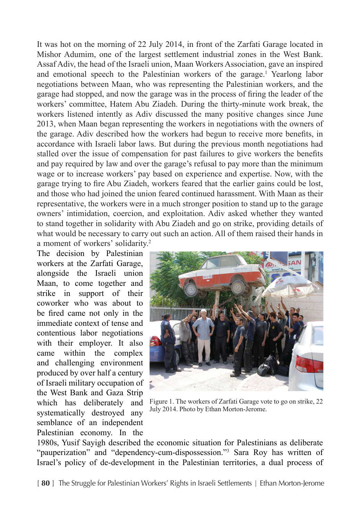It was hot on the morning of 22 July 2014, in front of the Zarfati Garage located in Mishor Adumim, one of the largest settlement industrial zones in the West Bank. Assaf Adiv, the head of the Israeli union, Maan Workers Association, gave an inspired and emotional speech to the Palestinian workers of the garage.<sup>1</sup> Yearlong labor negotiations between Maan, who was representing the Palestinian workers, and the garage had stopped, and now the garage was in the process of firing the leader of the workers' committee, Hatem Abu Ziadeh. During the thirty-minute work break, the workers listened intently as Adiv discussed the many positive changes since June 2013, when Maan began representing the workers in negotiations with the owners of the garage. Adiv described how the workers had begun to receive more benefits, in accordance with Israeli labor laws. But during the previous month negotiations had stalled over the issue of compensation for past failures to give workers the benefits and pay required by law and over the garage's refusal to pay more than the minimum wage or to increase workers' pay based on experience and expertise. Now, with the garage trying to fire Abu Ziadeh, workers feared that the earlier gains could be lost, and those who had joined the union feared continued harassment. With Maan as their representative, the workers were in a much stronger position to stand up to the garage owners' intimidation, coercion, and exploitation. Adiv asked whether they wanted to stand together in solidarity with Abu Ziadeh and go on strike, providing details of what would be necessary to carry out such an action. All of them raised their hands in a moment of workers' solidarity.2

The decision by Palestinian workers at the Zarfati Garage, alongside the Israeli union Maan, to come together and strike in support of their coworker who was about to be fired came not only in the immediate context of tense and contentious labor negotiations with their employer. It also came within the complex and challenging environment produced by over half a century of Israeli military occupation of the West Bank and Gaza Strip which has deliberately and systematically destroyed any semblance of an independent Palestinian economy. In the



Figure 1. The workers of Zarfati Garage vote to go on strike, 22 July 2014. Photo by Ethan Morton-Jerome.

1980s, Yusif Sayigh described the economic situation for Palestinians as deliberate "pauperization" and "dependency-cum-dispossession."<sup>3</sup> Sara Roy has written of Israel's policy of de-development in the Palestinian territories, a dual process of

[ **80** ] The Struggle for Palestinian Workers' Rights in Israeli Settlements **|** Ethan Morton-Jerome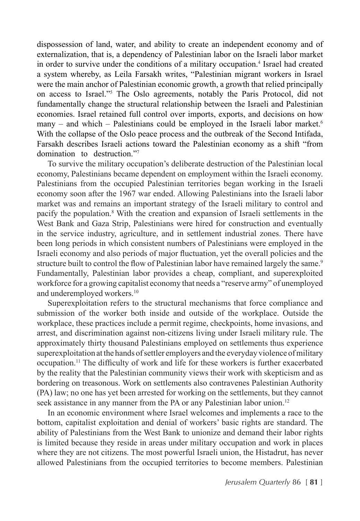dispossession of land, water, and ability to create an independent economy and of externalization, that is, a dependency of Palestinian labor on the Israeli labor market in order to survive under the conditions of a military occupation.<sup>4</sup> Israel had created a system whereby, as Leila Farsakh writes, "Palestinian migrant workers in Israel were the main anchor of Palestinian economic growth, a growth that relied principally on access to Israel."<sup>5</sup> The Oslo agreements, notably the Paris Protocol, did not fundamentally change the structural relationship between the Israeli and Palestinian economies. Israel retained full control over imports, exports, and decisions on how many – and which – Palestinians could be employed in the Israeli labor market.<sup>6</sup> With the collapse of the Oslo peace process and the outbreak of the Second Intifada, Farsakh describes Israeli actions toward the Palestinian economy as a shift "from domination to destruction."<sup>7</sup>

To survive the military occupation's deliberate destruction of the Palestinian local economy, Palestinians became dependent on employment within the Israeli economy. Palestinians from the occupied Palestinian territories began working in the Israeli economy soon after the 1967 war ended. Allowing Palestinians into the Israeli labor market was and remains an important strategy of the Israeli military to control and pacify the population.8 With the creation and expansion of Israeli settlements in the West Bank and Gaza Strip, Palestinians were hired for construction and eventually in the service industry, agriculture, and in settlement industrial zones. There have been long periods in which consistent numbers of Palestinians were employed in the Israeli economy and also periods of major fluctuation, yet the overall policies and the structure built to control the flow of Palestinian labor have remained largely the same.<sup>9</sup> Fundamentally, Palestinian labor provides a cheap, compliant, and superexploited workforce for a growing capitalist economy that needs a "reserve army" of unemployed and underemployed workers.<sup>10</sup>

Superexploitation refers to the structural mechanisms that force compliance and submission of the worker both inside and outside of the workplace. Outside the workplace, these practices include a permit regime, checkpoints, home invasions, and arrest, and discrimination against non-citizens living under Israeli military rule. The approximately thirty thousand Palestinians employed on settlements thus experience superexploitation at the hands of settler employers and the everyday violence of military occupation.11 The difficulty of work and life for these workers is further exacerbated by the reality that the Palestinian community views their work with skepticism and as bordering on treasonous. Work on settlements also contravenes Palestinian Authority (PA) law; no one has yet been arrested for working on the settlements, but they cannot seek assistance in any manner from the PA or any Palestinian labor union.<sup>12</sup>

In an economic environment where Israel welcomes and implements a race to the bottom, capitalist exploitation and denial of workers' basic rights are standard. The ability of Palestinians from the West Bank to unionize and demand their labor rights is limited because they reside in areas under military occupation and work in places where they are not citizens. The most powerful Israeli union, the Histadrut, has never allowed Palestinians from the occupied territories to become members. Palestinian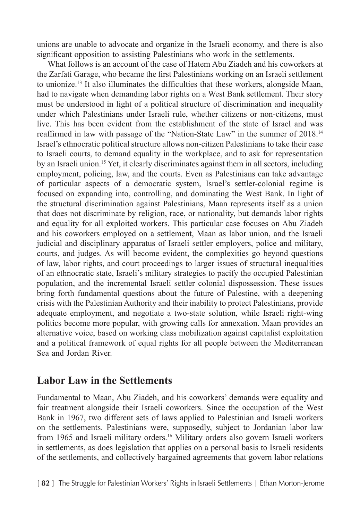unions are unable to advocate and organize in the Israeli economy, and there is also significant opposition to assisting Palestinians who work in the settlements.

What follows is an account of the case of Hatem Abu Ziadeh and his coworkers at the Zarfati Garage, who became the first Palestinians working on an Israeli settlement to unionize.13 It also illuminates the difficulties that these workers, alongside Maan, had to navigate when demanding labor rights on a West Bank settlement. Their story must be understood in light of a political structure of discrimination and inequality under which Palestinians under Israeli rule, whether citizens or non-citizens, must live. This has been evident from the establishment of the state of Israel and was reaffirmed in law with passage of the "Nation-State Law" in the summer of 2018.<sup>14</sup> Israel's ethnocratic political structure allows non-citizen Palestinians to take their case to Israeli courts, to demand equality in the workplace, and to ask for representation by an Israeli union.<sup>15</sup> Yet, it clearly discriminates against them in all sectors, including employment, policing, law, and the courts. Even as Palestinians can take advantage of particular aspects of a democratic system, Israel's settler-colonial regime is focused on expanding into, controlling, and dominating the West Bank. In light of the structural discrimination against Palestinians, Maan represents itself as a union that does not discriminate by religion, race, or nationality, but demands labor rights and equality for all exploited workers. This particular case focuses on Abu Ziadeh and his coworkers employed on a settlement, Maan as labor union, and the Israeli judicial and disciplinary apparatus of Israeli settler employers, police and military, courts, and judges. As will become evident, the complexities go beyond questions of law, labor rights, and court proceedings to larger issues of structural inequalities of an ethnocratic state, Israeli's military strategies to pacify the occupied Palestinian population, and the incremental Israeli settler colonial dispossession. These issues bring forth fundamental questions about the future of Palestine, with a deepening crisis with the Palestinian Authority and their inability to protect Palestinians, provide adequate employment, and negotiate a two-state solution, while Israeli right-wing politics become more popular, with growing calls for annexation. Maan provides an alternative voice, based on working class mobilization against capitalist exploitation and a political framework of equal rights for all people between the Mediterranean Sea and Jordan River.

# **Labor Law in the Settlements**

Fundamental to Maan, Abu Ziadeh, and his coworkers' demands were equality and fair treatment alongside their Israeli coworkers. Since the occupation of the West Bank in 1967, two different sets of laws applied to Palestinian and Israeli workers on the settlements. Palestinians were, supposedly, subject to Jordanian labor law from 1965 and Israeli military orders.16 Military orders also govern Israeli workers in settlements, as does legislation that applies on a personal basis to Israeli residents of the settlements, and collectively bargained agreements that govern labor relations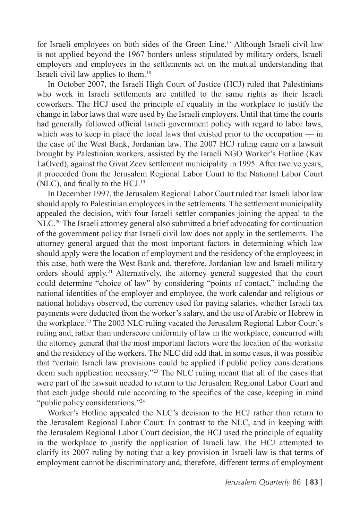for Israeli employees on both sides of the Green Line.<sup>17</sup> Although Israeli civil law is not applied beyond the 1967 borders unless stipulated by military orders, Israeli employers and employees in the settlements act on the mutual understanding that Israeli civil law applies to them.18

In October 2007, the Israeli High Court of Justice (HCJ) ruled that Palestinians who work in Israeli settlements are entitled to the same rights as their Israeli coworkers. The HCJ used the principle of equality in the workplace to justify the change in labor laws that were used by the Israeli employers. Until that time the courts had generally followed official Israeli government policy with regard to labor laws, which was to keep in place the local laws that existed prior to the occupation — in the case of the West Bank, Jordanian law. The 2007 HCJ ruling came on a lawsuit brought by Palestinian workers, assisted by the Israeli NGO Worker's Hotline (Kav LaOved), against the Givat Zeev settlement municipality in 1995. After twelve years, it proceeded from the Jerusalem Regional Labor Court to the National Labor Court (NLC), and finally to the HCJ.<sup>19</sup>

In December 1997, the Jerusalem Regional Labor Court ruled that Israeli labor law should apply to Palestinian employees in the settlements. The settlement municipality appealed the decision, with four Israeli settler companies joining the appeal to the NLC.20 The Israeli attorney general also submitted a brief advocating for continuation of the government policy that Israeli civil law does not apply in the settlements. The attorney general argued that the most important factors in determining which law should apply were the location of employment and the residency of the employees; in this case, both were the West Bank and, therefore, Jordanian law and Israeli military orders should apply.21 Alternatively, the attorney general suggested that the court could determine "choice of law" by considering "points of contact," including the national identities of the employer and employee, the work calendar and religious or national holidays observed, the currency used for paying salaries, whether Israeli tax payments were deducted from the worker's salary, and the use of Arabic or Hebrew in the workplace.22 The 2003 NLC ruling vacated the Jerusalem Regional Labor Court's ruling and, rather than underscore uniformity of law in the workplace, concurred with the attorney general that the most important factors were the location of the worksite and the residency of the workers. The NLC did add that, in some cases, it was possible that "certain Israeli law provisions could be applied if public policy considerations deem such application necessary."23 The NLC ruling meant that all of the cases that were part of the lawsuit needed to return to the Jerusalem Regional Labor Court and that each judge should rule according to the specifics of the case, keeping in mind "public policy considerations."<sup>24</sup>

Worker's Hotline appealed the NLC's decision to the HCJ rather than return to the Jerusalem Regional Labor Court. In contrast to the NLC, and in keeping with the Jerusalem Regional Labor Court decision, the HCJ used the principle of equality in the workplace to justify the application of Israeli law. The HCJ attempted to clarify its 2007 ruling by noting that a key provision in Israeli law is that terms of employment cannot be discriminatory and, therefore, different terms of employment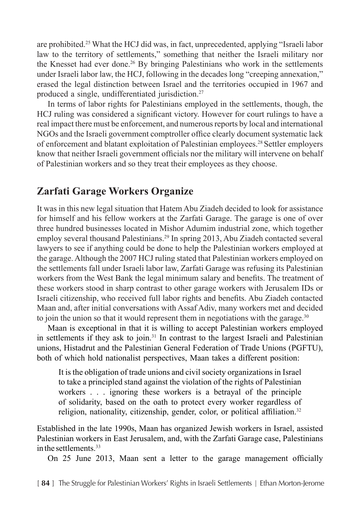are prohibited.25 What the HCJ did was, in fact, unprecedented, applying "Israeli labor law to the territory of settlements," something that neither the Israeli military nor the Knesset had ever done.26 By bringing Palestinians who work in the settlements under Israeli labor law, the HCJ, following in the decades long "creeping annexation," erased the legal distinction between Israel and the territories occupied in 1967 and produced a single, undifferentiated jurisdiction.27

In terms of labor rights for Palestinians employed in the settlements, though, the HCJ ruling was considered a significant victory. However for court rulings to have a real impact there must be enforcement, and numerous reports by local and international NGOs and the Israeli government comptroller office clearly document systematic lack of enforcement and blatant exploitation of Palestinian employees.28 Settler employers know that neither Israeli government officials nor the military will intervene on behalf of Palestinian workers and so they treat their employees as they choose.

# **Zarfati Garage Workers Organize**

It was in this new legal situation that Hatem Abu Ziadeh decided to look for assistance for himself and his fellow workers at the Zarfati Garage. The garage is one of over three hundred businesses located in Mishor Adumim industrial zone, which together employ several thousand Palestinians.29 In spring 2013, Abu Ziadeh contacted several lawyers to see if anything could be done to help the Palestinian workers employed at the garage. Although the 2007 HCJ ruling stated that Palestinian workers employed on the settlements fall under Israeli labor law, Zarfati Garage was refusing its Palestinian workers from the West Bank the legal minimum salary and benefits. The treatment of these workers stood in sharp contrast to other garage workers with Jerusalem IDs or Israeli citizenship, who received full labor rights and benefits. Abu Ziadeh contacted Maan and, after initial conversations with Assaf Adiv, many workers met and decided to join the union so that it would represent them in negotiations with the garage. $30$ 

Maan is exceptional in that it is willing to accept Palestinian workers employed in settlements if they ask to join.<sup>31</sup> In contrast to the largest Israeli and Palestinian unions, Histadrut and the Palestinian General Federation of Trade Unions (PGFTU), both of which hold nationalist perspectives, Maan takes a different position:

It is the obligation of trade unions and civil society organizations in Israel to take a principled stand against the violation of the rights of Palestinian workers . . . ignoring these workers is a betrayal of the principle of solidarity, based on the oath to protect every worker regardless of religion, nationality, citizenship, gender, color, or political affiliation.<sup>32</sup>

Established in the late 1990s, Maan has organized Jewish workers in Israel, assisted Palestinian workers in East Jerusalem, and, with the Zarfati Garage case, Palestinians in the settlements.<sup>33</sup>

On 25 June 2013, Maan sent a letter to the garage management officially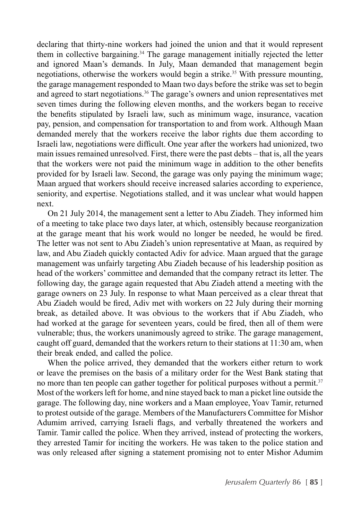declaring that thirty-nine workers had joined the union and that it would represent them in collective bargaining.34 The garage management initially rejected the letter and ignored Maan's demands. In July, Maan demanded that management begin negotiations, otherwise the workers would begin a strike.<sup>35</sup> With pressure mounting, the garage management responded to Maan two days before the strike was set to begin and agreed to start negotiations.36 The garage's owners and union representatives met seven times during the following eleven months, and the workers began to receive the benefits stipulated by Israeli law, such as minimum wage, insurance, vacation pay, pension, and compensation for transportation to and from work. Although Maan demanded merely that the workers receive the labor rights due them according to Israeli law, negotiations were difficult. One year after the workers had unionized, two main issues remained unresolved. First, there were the past debts – that is, all the years that the workers were not paid the minimum wage in addition to the other benefits provided for by Israeli law. Second, the garage was only paying the minimum wage; Maan argued that workers should receive increased salaries according to experience, seniority, and expertise. Negotiations stalled, and it was unclear what would happen next.

On 21 July 2014, the management sent a letter to Abu Ziadeh. They informed him of a meeting to take place two days later, at which, ostensibly because reorganization at the garage meant that his work would no longer be needed, he would be fired. The letter was not sent to Abu Ziadeh's union representative at Maan, as required by law, and Abu Ziadeh quickly contacted Adiv for advice. Maan argued that the garage management was unfairly targeting Abu Ziadeh because of his leadership position as head of the workers' committee and demanded that the company retract its letter. The following day, the garage again requested that Abu Ziadeh attend a meeting with the garage owners on 23 July. In response to what Maan perceived as a clear threat that Abu Ziadeh would be fired, Adiv met with workers on 22 July during their morning break, as detailed above. It was obvious to the workers that if Abu Ziadeh, who had worked at the garage for seventeen years, could be fired, then all of them were vulnerable; thus, the workers unanimously agreed to strike. The garage management, caught off guard, demanded that the workers return to their stations at 11:30 am, when their break ended, and called the police.

When the police arrived, they demanded that the workers either return to work or leave the premises on the basis of a military order for the West Bank stating that no more than ten people can gather together for political purposes without a permit.<sup>37</sup> Most of the workers left for home, and nine stayed back to man a picket line outside the garage. The following day, nine workers and a Maan employee, Yoav Tamir, returned to protest outside of the garage. Members of the Manufacturers Committee for Mishor Adumim arrived, carrying Israeli flags, and verbally threatened the workers and Tamir. Tamir called the police. When they arrived, instead of protecting the workers, they arrested Tamir for inciting the workers. He was taken to the police station and was only released after signing a statement promising not to enter Mishor Adumim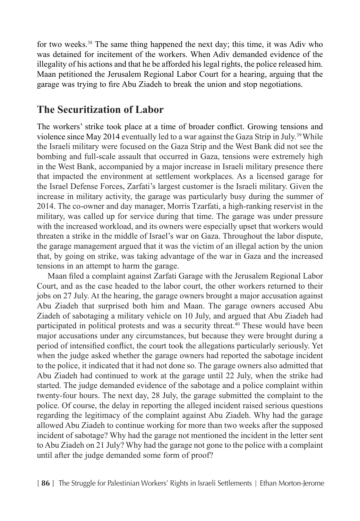for two weeks.38 The same thing happened the next day; this time, it was Adiv who was detained for incitement of the workers. When Adiv demanded evidence of the illegality of his actions and that he be afforded his legal rights, the police released him. Maan petitioned the Jerusalem Regional Labor Court for a hearing, arguing that the garage was trying to fire Abu Ziadeh to break the union and stop negotiations.

# **The Securitization of Labor**

The workers' strike took place at a time of broader conflict. Growing tensions and violence since May 2014 eventually led to a war against the Gaza Strip in July.<sup>39</sup> While the Israeli military were focused on the Gaza Strip and the West Bank did not see the bombing and full-scale assault that occurred in Gaza, tensions were extremely high in the West Bank, accompanied by a major increase in Israeli military presence there that impacted the environment at settlement workplaces. As a licensed garage for the Israel Defense Forces, Zarfati's largest customer is the Israeli military. Given the increase in military activity, the garage was particularly busy during the summer of 2014. The co-owner and day manager, Morris Tzarfati, a high-ranking reservist in the military, was called up for service during that time. The garage was under pressure with the increased workload, and its owners were especially upset that workers would threaten a strike in the middle of Israel's war on Gaza. Throughout the labor dispute, the garage management argued that it was the victim of an illegal action by the union that, by going on strike, was taking advantage of the war in Gaza and the increased tensions in an attempt to harm the garage.

Maan filed a complaint against Zarfati Garage with the Jerusalem Regional Labor Court, and as the case headed to the labor court, the other workers returned to their jobs on 27 July. At the hearing, the garage owners brought a major accusation against Abu Ziadeh that surprised both him and Maan. The garage owners accused Abu Ziadeh of sabotaging a military vehicle on 10 July, and argued that Abu Ziadeh had participated in political protests and was a security threat.<sup>40</sup> These would have been major accusations under any circumstances, but because they were brought during a period of intensified conflict, the court took the allegations particularly seriously. Yet when the judge asked whether the garage owners had reported the sabotage incident to the police, it indicated that it had not done so. The garage owners also admitted that Abu Ziadeh had continued to work at the garage until 22 July, when the strike had started. The judge demanded evidence of the sabotage and a police complaint within twenty-four hours. The next day, 28 July, the garage submitted the complaint to the police. Of course, the delay in reporting the alleged incident raised serious questions regarding the legitimacy of the complaint against Abu Ziadeh. Why had the garage allowed Abu Ziadeh to continue working for more than two weeks after the supposed incident of sabotage? Why had the garage not mentioned the incident in the letter sent to Abu Ziadeh on 21 July? Why had the garage not gone to the police with a complaint until after the judge demanded some form of proof?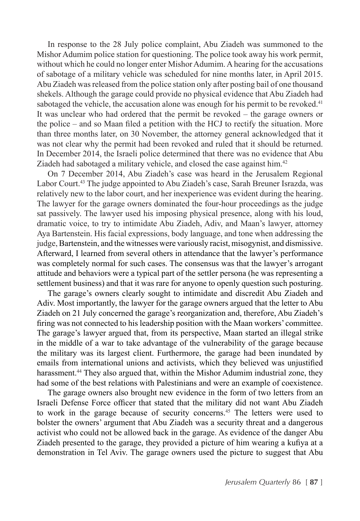In response to the 28 July police complaint, Abu Ziadeh was summoned to the Mishor Adumim police station for questioning. The police took away his work permit, without which he could no longer enter Mishor Adumim. A hearing for the accusations of sabotage of a military vehicle was scheduled for nine months later, in April 2015. Abu Ziadeh was released from the police station only after posting bail of one thousand shekels. Although the garage could provide no physical evidence that Abu Ziadeh had sabotaged the vehicle, the accusation alone was enough for his permit to be revoked.<sup>41</sup> It was unclear who had ordered that the permit be revoked – the garage owners or the police – and so Maan filed a petition with the HCJ to rectify the situation. More than three months later, on 30 November, the attorney general acknowledged that it was not clear why the permit had been revoked and ruled that it should be returned. In December 2014, the Israeli police determined that there was no evidence that Abu Ziadeh had sabotaged a military vehicle, and closed the case against him.42

On 7 December 2014, Abu Ziadeh's case was heard in the Jerusalem Regional Labor Court.<sup>43</sup> The judge appointed to Abu Ziadeh's case, Sarah Breuner Israzda, was relatively new to the labor court, and her inexperience was evident during the hearing. The lawyer for the garage owners dominated the four-hour proceedings as the judge sat passively. The lawyer used his imposing physical presence, along with his loud, dramatic voice, to try to intimidate Abu Ziadeh, Adiv, and Maan's lawyer, attorney Aya Bartenstein. His facial expressions, body language, and tone when addressing the judge, Bartenstein, and the witnesses were variously racist, misogynist, and dismissive. Afterward, I learned from several others in attendance that the lawyer's performance was completely normal for such cases. The consensus was that the lawyer's arrogant attitude and behaviors were a typical part of the settler persona (he was representing a settlement business) and that it was rare for anyone to openly question such posturing.

The garage's owners clearly sought to intimidate and discredit Abu Ziadeh and Adiv. Most importantly, the lawyer for the garage owners argued that the letter to Abu Ziadeh on 21 July concerned the garage's reorganization and, therefore, Abu Ziadeh's firing was not connected to his leadership position with the Maan workers' committee. The garage's lawyer argued that, from its perspective, Maan started an illegal strike in the middle of a war to take advantage of the vulnerability of the garage because the military was its largest client. Furthermore, the garage had been inundated by emails from international unions and activists, which they believed was unjustified harassment.<sup>44</sup> They also argued that, within the Mishor Adumim industrial zone, they had some of the best relations with Palestinians and were an example of coexistence.

The garage owners also brought new evidence in the form of two letters from an Israeli Defense Force officer that stated that the military did not want Abu Ziadeh to work in the garage because of security concerns.45 The letters were used to bolster the owners' argument that Abu Ziadeh was a security threat and a dangerous activist who could not be allowed back in the garage. As evidence of the danger Abu Ziadeh presented to the garage, they provided a picture of him wearing a kufiya at a demonstration in Tel Aviv. The garage owners used the picture to suggest that Abu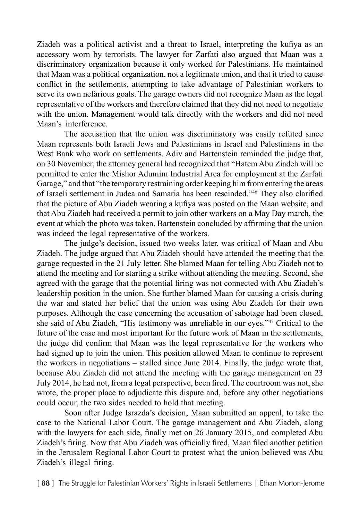Ziadeh was a political activist and a threat to Israel, interpreting the kufiya as an accessory worn by terrorists. The lawyer for Zarfati also argued that Maan was a discriminatory organization because it only worked for Palestinians. He maintained that Maan was a political organization, not a legitimate union, and that it tried to cause conflict in the settlements, attempting to take advantage of Palestinian workers to serve its own nefarious goals. The garage owners did not recognize Maan as the legal representative of the workers and therefore claimed that they did not need to negotiate with the union. Management would talk directly with the workers and did not need Maan's interference.

The accusation that the union was discriminatory was easily refuted since Maan represents both Israeli Jews and Palestinians in Israel and Palestinians in the West Bank who work on settlements. Adiv and Bartenstein reminded the judge that, on 30 November, the attorney general had recognized that "Hatem Abu Ziadeh will be permitted to enter the Mishor Adumim Industrial Area for employment at the Zarfati Garage," and that "the temporary restraining order keeping him from entering the areas of Israeli settlement in Judea and Samaria has been rescinded."<sup>46</sup> They also clarified that the picture of Abu Ziadeh wearing a kufiya was posted on the Maan website, and that Abu Ziadeh had received a permit to join other workers on a May Day march, the event at which the photo was taken. Bartenstein concluded by affirming that the union was indeed the legal representative of the workers.

The judge's decision, issued two weeks later, was critical of Maan and Abu Ziadeh. The judge argued that Abu Ziadeh should have attended the meeting that the garage requested in the 21 July letter. She blamed Maan for telling Abu Ziadeh not to attend the meeting and for starting a strike without attending the meeting. Second, she agreed with the garage that the potential firing was not connected with Abu Ziadeh's leadership position in the union. She further blamed Maan for causing a crisis during the war and stated her belief that the union was using Abu Ziadeh for their own purposes. Although the case concerning the accusation of sabotage had been closed, she said of Abu Ziadeh, "His testimony was unreliable in our eyes."47 Critical to the future of the case and most important for the future work of Maan in the settlements, the judge did confirm that Maan was the legal representative for the workers who had signed up to join the union. This position allowed Maan to continue to represent the workers in negotiations – stalled since June 2014. Finally, the judge wrote that, because Abu Ziadeh did not attend the meeting with the garage management on 23 July 2014, he had not, from a legal perspective, been fired. The courtroom was not, she wrote, the proper place to adjudicate this dispute and, before any other negotiations could occur, the two sides needed to hold that meeting.

Soon after Judge Israzda's decision, Maan submitted an appeal, to take the case to the National Labor Court. The garage management and Abu Ziadeh, along with the lawyers for each side, finally met on 26 January 2015, and completed Abu Ziadeh's firing. Now that Abu Ziadeh was officially fired, Maan filed another petition in the Jerusalem Regional Labor Court to protest what the union believed was Abu Ziadeh's illegal firing.

[ **88** ] The Struggle for Palestinian Workers' Rights in Israeli Settlements **|** Ethan Morton-Jerome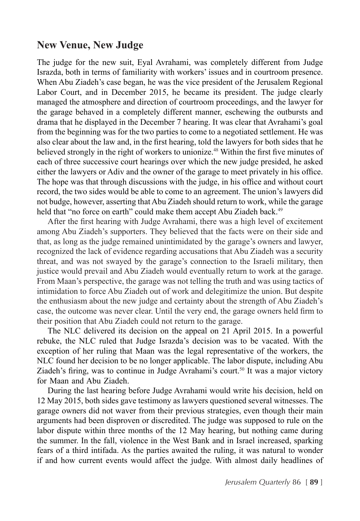# **New Venue, New Judge**

The judge for the new suit, Eyal Avrahami, was completely different from Judge Israzda, both in terms of familiarity with workers' issues and in courtroom presence. When Abu Ziadeh's case began, he was the vice president of the Jerusalem Regional Labor Court, and in December 2015, he became its president. The judge clearly managed the atmosphere and direction of courtroom proceedings, and the lawyer for the garage behaved in a completely different manner, eschewing the outbursts and drama that he displayed in the December 7 hearing. It was clear that Avrahami's goal from the beginning was for the two parties to come to a negotiated settlement. He was also clear about the law and, in the first hearing, told the lawyers for both sides that he believed strongly in the right of workers to unionize.<sup>48</sup> Within the first five minutes of each of three successive court hearings over which the new judge presided, he asked either the lawyers or Adiv and the owner of the garage to meet privately in his office. The hope was that through discussions with the judge, in his office and without court record, the two sides would be able to come to an agreement. The union's lawyers did not budge, however, asserting that Abu Ziadeh should return to work, while the garage held that "no force on earth" could make them accept Abu Ziadeh back.<sup>49</sup>

After the first hearing with Judge Avrahami, there was a high level of excitement among Abu Ziadeh's supporters. They believed that the facts were on their side and that, as long as the judge remained unintimidated by the garage's owners and lawyer, recognized the lack of evidence regarding accusations that Abu Ziadeh was a security threat, and was not swayed by the garage's connection to the Israeli military, then justice would prevail and Abu Ziadeh would eventually return to work at the garage. From Maan's perspective, the garage was not telling the truth and was using tactics of intimidation to force Abu Ziadeh out of work and delegitimize the union. But despite the enthusiasm about the new judge and certainty about the strength of Abu Ziadeh's case, the outcome was never clear. Until the very end, the garage owners held firm to their position that Abu Ziadeh could not return to the garage.

The NLC delivered its decision on the appeal on 21 April 2015. In a powerful rebuke, the NLC ruled that Judge Israzda's decision was to be vacated. With the exception of her ruling that Maan was the legal representative of the workers, the NLC found her decision to be no longer applicable. The labor dispute, including Abu Ziadeh's firing, was to continue in Judge Avrahami's court.<sup>50</sup> It was a major victory for Maan and Abu Ziadeh.

During the last hearing before Judge Avrahami would write his decision, held on 12 May 2015, both sides gave testimony as lawyers questioned several witnesses. The garage owners did not waver from their previous strategies, even though their main arguments had been disproven or discredited. The judge was supposed to rule on the labor dispute within three months of the 12 May hearing, but nothing came during the summer. In the fall, violence in the West Bank and in Israel increased, sparking fears of a third intifada. As the parties awaited the ruling, it was natural to wonder if and how current events would affect the judge. With almost daily headlines of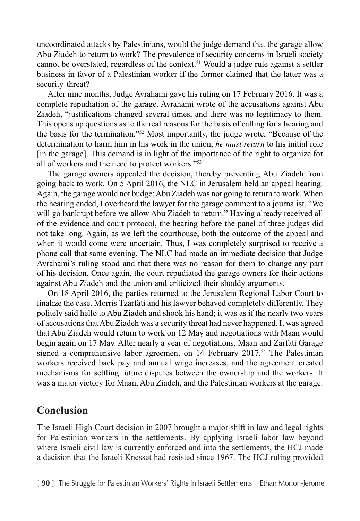uncoordinated attacks by Palestinians, would the judge demand that the garage allow Abu Ziadeh to return to work? The prevalence of security concerns in Israeli society cannot be overstated, regardless of the context.51 Would a judge rule against a settler business in favor of a Palestinian worker if the former claimed that the latter was a security threat?

After nine months, Judge Avrahami gave his ruling on 17 February 2016. It was a complete repudiation of the garage. Avrahami wrote of the accusations against Abu Ziadeh, "justifications changed several times, and there was no legitimacy to them. This opens up questions as to the real reasons for the basis of calling for a hearing and the basis for the termination."52 Most importantly, the judge wrote, "Because of the determination to harm him in his work in the union, *he must return* to his initial role [in the garage]. This demand is in light of the importance of the right to organize for all of workers and the need to protect workers."<sup>53</sup>

The garage owners appealed the decision, thereby preventing Abu Ziadeh from going back to work. On 5 April 2016, the NLC in Jerusalem held an appeal hearing. Again, the garage would not budge; Abu Ziadeh was not going to return to work. When the hearing ended, I overheard the lawyer for the garage comment to a journalist, "We will go bankrupt before we allow Abu Ziadeh to return." Having already received all of the evidence and court protocol, the hearing before the panel of three judges did not take long. Again, as we left the courthouse, both the outcome of the appeal and when it would come were uncertain. Thus, I was completely surprised to receive a phone call that same evening. The NLC had made an immediate decision that Judge Avrahami's ruling stood and that there was no reason for them to change any part of his decision. Once again, the court repudiated the garage owners for their actions against Abu Ziadeh and the union and criticized their shoddy arguments.

On 18 April 2016, the parties returned to the Jerusalem Regional Labor Court to finalize the case. Morris Tzarfati and his lawyer behaved completely differently. They politely said hello to Abu Ziadeh and shook his hand; it was as if the nearly two years of accusations that Abu Ziadeh was a security threat had never happened. It was agreed that Abu Ziadeh would return to work on 12 May and negotiations with Maan would begin again on 17 May. After nearly a year of negotiations, Maan and Zarfati Garage signed a comprehensive labor agreement on 14 February 2017.<sup>54</sup> The Palestinian workers received back pay and annual wage increases, and the agreement created mechanisms for settling future disputes between the ownership and the workers. It was a major victory for Maan, Abu Ziadeh, and the Palestinian workers at the garage.

## **Conclusion**

The Israeli High Court decision in 2007 brought a major shift in law and legal rights for Palestinian workers in the settlements. By applying Israeli labor law beyond where Israeli civil law is currently enforced and into the settlements, the HCJ made a decision that the Israeli Knesset had resisted since 1967. The HCJ ruling provided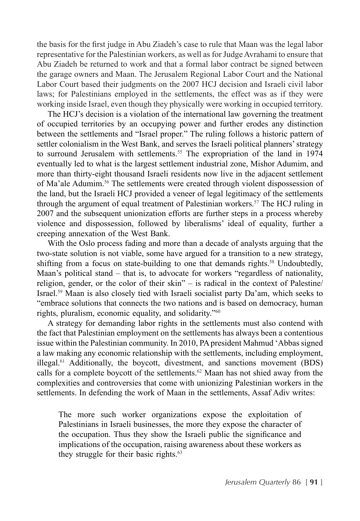the basis for the first judge in Abu Ziadeh's case to rule that Maan was the legal labor representative for the Palestinian workers, as well as for Judge Avrahami to ensure that Abu Ziadeh be returned to work and that a formal labor contract be signed between the garage owners and Maan. The Jerusalem Regional Labor Court and the National Labor Court based their judgments on the 2007 HCJ decision and Israeli civil labor laws; for Palestinians employed in the settlements, the effect was as if they were working inside Israel, even though they physically were working in occupied territory.

The HCJ's decision is a violation of the international law governing the treatment of occupied territories by an occupying power and further erodes any distinction between the settlements and "Israel proper." The ruling follows a historic pattern of settler colonialism in the West Bank, and serves the Israeli political planners' strategy to surround Jerusalem with settlements.<sup>55</sup> The expropriation of the land in 1974 eventually led to what is the largest settlement industrial zone, Mishor Adumim, and more than thirty-eight thousand Israeli residents now live in the adjacent settlement of Ma'ale Adumim.56 The settlements were created through violent dispossession of the land, but the Israeli HCJ provided a veneer of legal legitimacy of the settlements through the argument of equal treatment of Palestinian workers.57 The HCJ ruling in 2007 and the subsequent unionization efforts are further steps in a process whereby violence and dispossession, followed by liberalisms' ideal of equality, further a creeping annexation of the West Bank.

With the Oslo process fading and more than a decade of analysts arguing that the two-state solution is not viable, some have argued for a transition to a new strategy, shifting from a focus on state-building to one that demands rights.<sup>58</sup> Undoubtedly, Maan's political stand – that is, to advocate for workers "regardless of nationality, religion, gender, or the color of their skin" – is radical in the context of Palestine/ Israel.59 Maan is also closely tied with Israeli socialist party Da'am, which seeks to "embrace solutions that connects the two nations and is based on democracy, human rights, pluralism, economic equality, and solidarity."<sup>60</sup>

A strategy for demanding labor rights in the settlements must also contend with the fact that Palestinian employment on the settlements has always been a contentious issue within the Palestinian community. In 2010, PA president Mahmud 'Abbas signed a law making any economic relationship with the settlements, including employment, illegal.<sup>61</sup> Additionally, the boycott, divestment, and sanctions movement (BDS) calls for a complete boycott of the settlements.<sup>62</sup> Maan has not shied away from the complexities and controversies that come with unionizing Palestinian workers in the settlements. In defending the work of Maan in the settlements, Assaf Adiv writes:

The more such worker organizations expose the exploitation of Palestinians in Israeli businesses, the more they expose the character of the occupation. Thus they show the Israeli public the significance and implications of the occupation, raising awareness about these workers as they struggle for their basic rights.<sup>63</sup>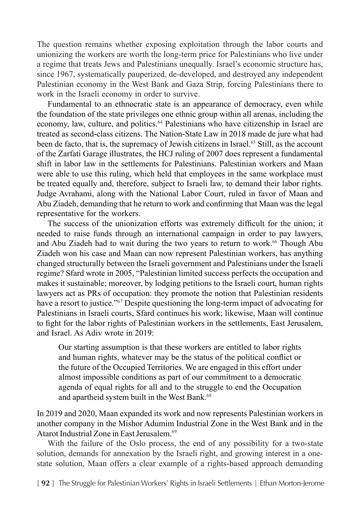The question remains whether exposing exploitation through the labor courts and unionizing the workers are worth the long-term price for Palestinians who live under a regime that treats Jews and Palestinians unequally. Israel's economic structure has, since 1967, systematically pauperized, de-developed, and destroyed any independent Palestinian economy in the West Bank and Gaza Strip, forcing Palestinians there to work in the Israeli economy in order to survive.

Fundamental to an ethnocratic state is an appearance of democracy, even while the foundation of the state privileges one ethnic group within all arenas, including the economy, law, culture, and politics.<sup>64</sup> Palestinians who have citizenship in Israel are treated as second-class citizens. The Nation-State Law in 2018 made de jure what had been de facto, that is, the supremacy of Jewish citizens in Israel.<sup>65</sup> Still, as the account of the Zarfati Garage illustrates, the HCJ ruling of 2007 does represent a fundamental shift in labor law in the settlements for Palestinians. Palestinian workers and Maan were able to use this ruling, which held that employees in the same workplace must be treated equally and, therefore, subject to Israeli law, to demand their labor rights. Judge Avrahami, along with the National Labor Court, ruled in favor of Maan and Abu Ziadeh, demanding that he return to work and confirming that Maan was the legal representative for the workers.

The success of the unionization efforts was extremely difficult for the union; it needed to raise funds through an international campaign in order to pay lawyers, and Abu Ziadeh had to wait during the two years to return to work.<sup>66</sup> Though Abu Ziadeh won his case and Maan can now represent Palestinian workers, has anything changed structurally between the Israeli government and Palestinians under the Israeli regime? Sfard wrote in 2005, "Palestinian limited success perfects the occupation and makes it sustainable; moreover, by lodging petitions to the Israeli court, human rights lawyers act as PRs of occupation: they promote the notion that Palestinian residents have a resort to justice."<sup>67</sup> Despite questioning the long-term impact of advocating for Palestinians in Israeli courts, Sfard continues his work; likewise, Maan will continue to fight for the labor rights of Palestinian workers in the settlements, East Jerusalem, and Israel. As Adiv wrote in 2019:

Our starting assumption is that these workers are entitled to labor rights and human rights, whatever may be the status of the political conflict or the future of the Occupied Territories. We are engaged in this effort under almost impossible conditions as part of our commitment to a democratic agenda of equal rights for all and to the struggle to end the Occupation and apartheid system built in the West Bank.<sup>68</sup>

In 2019 and 2020, Maan expanded its work and now represents Palestinian workers in another company in the Mishor Adumim Industrial Zone in the West Bank and in the Atarot Industrial Zone in East Jerusalem.69

With the failure of the Oslo process, the end of any possibility for a two-state solution, demands for annexation by the Israeli right, and growing interest in a onestate solution, Maan offers a clear example of a rights-based approach demanding

[ **92** ] The Struggle for Palestinian Workers' Rights in Israeli Settlements **|** Ethan Morton-Jerome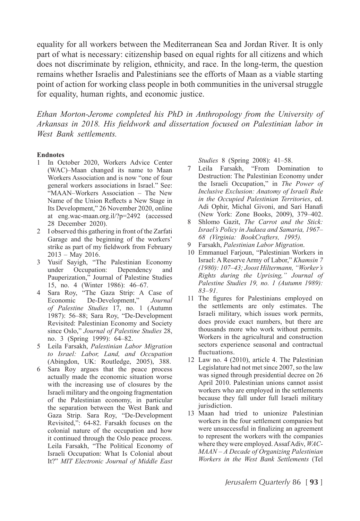equality for all workers between the Mediterranean Sea and Jordan River. It is only part of what is necessary: citizenship based on equal rights for all citizens and which does not discriminate by religion, ethnicity, and race. In the long-term, the question remains whether Israelis and Palestinians see the efforts of Maan as a viable starting point of action for working class people in both communities in the universal struggle for equality, human rights, and economic justice.

*Ethan Morton-Jerome completed his PhD in Anthropology from the University of Arkansas in 2018. His fieldwork and dissertation focused on Palestinian labor in West Bank settlements.*

#### **Endnotes**

- 1 In October 2020, Workers Advice Center (WAC)–Maan changed its name to Maan Workers Association and is now "one of four general workers associations in Israel." See: "MAAN–Workers Association – The New Name of the Union Reflects a New Stage in Its Development," 26 November 2020, online at eng.wac-maan.org.il/?p=2492 (accessed 28 December 2020).
- 2 I observed this gathering in front of the Zarfati Garage and the beginning of the workers' strike as part of my fieldwork from February 2013 – May 2016.
- 3 Yusif Sayigh, "The Palestinian Economy Occupation: Dependency and Pauperization," Journal of Palestine Studies 15, no. 4 (Winter 1986): 46–67.
- 4 Sara Roy, "The Gaza Strip: A Case of Economic De-Development," *Journal of Palestine Studies* 17, no. 1 (Autumn 1987): 56–88; Sara Roy, "De-Development Revisited: Palestinian Economy and Society since Oslo," *Journal of Palestine Studies* 28, no. 3 (Spring 1999): 64–82.
- 5 Leila Farsakh, *Palestinian Labor Migration to Israel: Labor, Land, and Occupation*  (Abingdon, UK: Routledge, 2005), 388.
- 6 Sara Roy argues that the peace process actually made the economic situation worse with the increasing use of closures by the Israeli military and the ongoing fragmentation of the Palestinian economy, in particular the separation between the West Bank and Gaza Strip. Sara Roy, "De-Development Revisited,": 64-82. Farsakh focuses on the colonial nature of the occupation and how it continued through the Oslo peace process. Leila Farsakh, "The Political Economy of Israeli Occupation: What Is Colonial about It?" *MIT Electronic Journal of Middle East*

- *Studies* 8 (Spring 2008): 41–58. "From Domination to Destruction: The Palestinian Economy under the Israeli Occupation," in *The Power of Inclusive Exclusion: Anatomy of Israeli Rule in the Occupied Palestinian Territories*, ed. Adi Ophir, Michal Givoni, and Sari Hanafi (New York: Zone Books, 2009), 379–402.
- 8 Shlomo Gazit, *The Carrot and the Stick: Israel's Policy in Judaea and Samaria, 1967– 68 (Virginia: BookCrafters, 1995).*
- 9 Farsakh, *Palestinian Labor Migration*.
- 10 Emmanuel Farjoun, "Palestinian Workers in Israel: A Reserve Army of Labor," *Khamsin 7 (1980): 107–43; Joost Hiltermann, "Worker's Rights during the Uprising," Journal of Palestine Studies 19, no. 1 (Autumn 1989): 83–91.*
- 11 The figures for Palestinians employed on the settlements are only estimates. The Israeli military, which issues work permits, does provide exact numbers, but there are thousands more who work without permits. Workers in the agricultural and construction sectors experience seasonal and contractual fluctuations.
- 12 Law no. 4 (2010), article 4. The Palestinian Legislature had not met since 2007, so the law was signed through presidential decree on 26 April 2010. Palestinian unions cannot assist workers who are employed in the settlements because they fall under full Israeli military jurisdiction.
- 13 Maan had tried to unionize Palestinian workers in the four settlement companies but were unsuccessful in finalizing an agreement to represent the workers with the companies where they were employed. Assaf Adiv, *WAC-MAAN – A Decade of Organizing Palestinian Workers in the West Bank Settlements* (Tel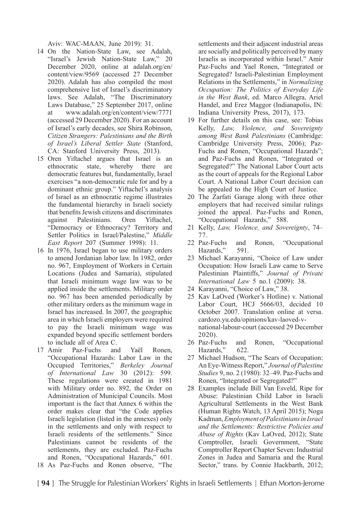Aviv: WAC-MAAN, June 2019): 31.

- 14 On the Nation-State Law, see Adalah, "Israel's Jewish Nation-State Law," 20 December 2020, online at adalah.org/en/ content/view/9569 (accessed 27 December 2020). Adalah has also compiled the most comprehensive list of Israel's discriminatory laws. See Adalah, "The Discriminatory Laws Database," 25 September 2017, online at www.adalah.org/en/content/view/7771 (accessed 29 December 2020). For an account of Israel's early decades, see Shira Robinson, *Citizen Strangers: Palestinians and the Birth of Israel's Liberal Settler State* (Stanford, CA: Stanford University Press, 2013).
- 15 Oren Yiftachel argues that Israel is an ethnocratic state, whereby there are democratic features but, fundamentally, Israel exercises "a non-democratic rule for and by a dominant ethnic group." Yiftachel's analysis of Israel as an ethnocratic regime illustrates the fundamental hierarchy in Israeli society that benefits Jewish citizens and discriminates against Palestinians. Oren Yiftachel, "Democracy or Ethnocracy? Territory and Settler Politics in Israel/Palestine," *Middle East Report* 207 (Summer 1998): 11.
- 16 In 1976, Israel began to use military orders to amend Jordanian labor law. In 1982, order no. 967, Employment of Workers in Certain Locations (Judea and Samaria), stipulated that Israeli minimum wage law was to be applied inside the settlements. Military order no. 967 has been amended periodically by other military orders as the minimum wage in Israel has increased. In 2007, the geographic area in which Israeli employers were required to pay the Israeli minimum wage was expanded beyond specific settlement borders to include all of Area C.<br>17 Amir Paz-Fuchs and
- Paz-Fuchs and Yaël Ronen, "Occupational Hazards: Labor Law in the Occupied Territories," *Berkeley Journal of International Law* 30 (2012): 599. These regulations were created in 1981 with Military order no. 892, the Order on Administration of Municipal Councils. Most important is the fact that Annex 6 within the order makes clear that "the Code applies Israeli legislation (listed in the annexes) only in the settlements and only with respect to Israeli residents of the settlements." Since Palestinians cannot be residents of the settlements, they are excluded. Paz-Fuchs and Ronen, "Occupational Hazards," 601.

settlements and their adjacent industrial areas are socially and politically perceived by many Israelis as incorporated within Israel." Amir Paz-Fuchs and Yael Ronen, "Integrated or Segregated? Israeli-Palestinian Employment Relations in the Settlements," in *Normalizing Occupation: The Politics of Everyday Life in the West Bank*, ed. Marco Allegra, Ariel Handel, and Erez Maggor (Indianapolis, IN: Indiana University Press, 2017), 173.

- 19 For further details on this case, see: Tobias Kelly, *Law, Violence, and Sovereignty among West Bank Palestinians* (Cambridge: Cambridge University Press, 2006); Paz-Fuchs and Ronen, "Occupational Hazards"; and Paz-Fuchs and Ronen, "Integrated or Segregated?" The National Labor Court acts as the court of appeals for the Regional Labor Court. A National Labor Court decision can be appealed to the High Court of Justice.
- 20 The Zarfati Garage along with three other employers that had received similar rulings joined the appeal. Paz-Fuchs and Ronen, "Occupational Hazards," 588.
- 21 Kelly, *Law, Violence, and Sovereignty*, 74– 77.<br>22 Paz-Fuchs
- and Ronen, "Occupational Hazards," 591.
- 23 Michael Karayanni, "Choice of Law under Occupation: How Israeli Law came to Serve Palestinian Plaintiffs," *Journal of Private International Law* 5 no.1 (2009): 38.
- 24 Karayanni, "Choice of Law," 38.
- 25 Kav LaOved (Worker's Hotline) v. National Labor Court, HCJ 5666/03, decided 10 October 2007. Translation online at versa. cardozo.yu.edu/opinions/kav-laoved-vnational-labour-court (accessed 29 December 2020).
- 26 Paz-Fuchs and Ronen, "Occupational Hazards," 622.
- 27 Michael Hudson, "The Scars of Occupation: An Eye-Witness Report," *Journal of Palestine Studies* 9, no. 2 (1980): 32–49. Paz-Fuchs and Ronen, "Integrated or Segregated?"
- 28 Examples include Bill Van Esveld, Ripe for Abuse: Palestinian Child Labor in Israeli Agricultural Settlements in the West Bank (Human Rights Watch, 13 April 2015); Noga Kadman, *Employment of Palestinians in Israel and the Settlements: Restrictive Policies and Abuse of Rights* (Kav LaOved, 2012); State Comptroller, Israeli Government, "State Comptroller Report Chapter Seven: Industrial Zones in Judea and Samaria and the Rural Sector," trans. by Connie Hackbarth, 2012;
- 18 As Paz-Fuchs and Ronen observe, "The

[ **94** ] The Struggle for Palestinian Workers' Rights in Israeli Settlements **|** Ethan Morton-Jerome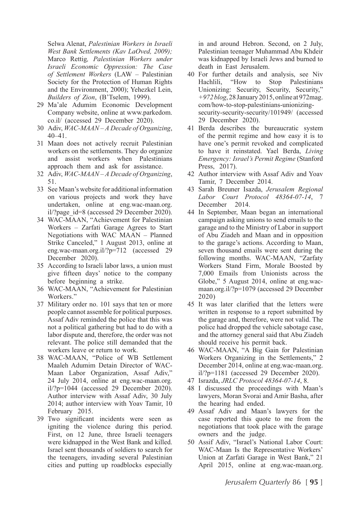Selwa Alenat, *Palestinian Workers in Israeli West Bank Settlements (Kav LaOved, 2009);*  Marco Rettig*, Palestinian Workers under Israeli Economic Oppression: The Case of Settlement Workers* (LAW – Palestinian Society for the Protection of Human Rights and the Environment, 2000); Yehezkel Lein, *Builders of Zion*, (B'Tselem, 1999).

- 29 Ma'ale Adumim Economic Development Company website, online at www.parkedom. co.il/ (accessed 29 December 2020).
- 30 Adiv, *WAC-MAAN A Decade of Organizing*, 40–41.
- 31 Maan does not actively recruit Palestinian workers on the settlements. They do organize and assist workers when Palestinians approach them and ask for assistance.
- 32 Adiv, *WAC-MAAN A Decade of Organizing*, 51.
- 33 See Maan's website for additional information on various projects and work they have undertaken, online at eng.wac-maan.org. il/?page\_id=8 (accessed 29 December 2020).
- 34 WAC-MAAN, "Achievement for Palestinian Workers – Zarfati Garage Agrees to Start Negotiations with WAC MAAN – Planned Strike Canceled," 1 August 2013, online at eng.wac-maan.org.il/?p=712 (accessed 29 December 2020).
- 35 According to Israeli labor laws, a union must give fifteen days' notice to the company before beginning a strike.
- 36 WAC-MAAN, "Achievement for Palestinian Workers."
- 37 Military order no. 101 says that ten or more people cannot assemble for political purposes. Assaf Adiv reminded the police that this was not a political gathering but had to do with a labor dispute and, therefore, the order was not relevant. The police still demanded that the workers leave or return to work.
- 38 WAC-MAAN, "Police of WB Settlement Maaleh Adumim Detain Director of WAC-Maan Labor Organization, Assaf Adiv," 24 July 2014, online at eng.wac-maan.org. il/?p=1044 (accessed 29 December 2020). Author interview with Assaf Adiv, 30 July 2014; author interview with Yoav Tamir, 10 February 2015.
- 39 Two significant incidents were seen as igniting the violence during this period. First, on 12 June, three Israeli teenagers were kidnapped in the West Bank and killed. Israel sent thousands of soldiers to search for the teenagers, invading several Palestinian cities and putting up roadblocks especially

in and around Hebron. Second, on 2 July, Palestinian teenager Muhammad Abu Khdeir was kidnapped by Israeli Jews and burned to death in East Jerusalem.

- 40 For further details and analysis, see Niv<br>Hachlili. "How to Stop Palestinians" "How to Stop Palestinians Unionizing: Security, Security, Security," *+972 blog*, 28 January 2015, online at 972mag. com/how-to-stop-palestinians-unionizingsecurity-security-security/101949/ (accessed 29 December 2020).
- 41 Berda describes the bureaucratic system of the permit regime and how easy it is to have one's permit revoked and complicated to have it reinstated. Yael Berda, *Living Emergency: Israel's Permit Regime* (Stanford Press, 2017).
- 42 Author interview with Assaf Adiv and Yoav Tamir, 7 December 2014.
- 43 Sarah Breuner Isazda, *Jerusalem Regional Labor Court Protocol 48364-07-14*, 7 December 2014.
- 44 In September, Maan began an international campaign asking unions to send emails to the garage and to the Ministry of Labor in support of Abu Ziadeh and Maan and in opposition to the garage's actions. According to Maan, seven thousand emails were sent during the following months. WAC-MAAN, "Zarfaty Workers Stand Firm, Morale Boosted by 7,000 Emails from Unionists across the Globe," 5 August 2014, online at eng.wacmaan.org.il/?p=1079 (accessed 29 December 2020)
- 45 It was later clarified that the letters were written in response to a report submitted by the garage and, therefore, were not valid. The police had dropped the vehicle sabotage case, and the attorney general said that Abu Ziadeh should receive his permit back.
- 46 WAC-MAAN, "A Big Gain for Palestinian Workers Organizing in the Settlements," 2 December 2014, online at eng.wac-maan.org. il/?p=1181 (accessed 29 December 2020).
- 47 Israzda, *JRLC Protocol 48364-07-14*, 8.
- 48 I discussed the proceedings with Maan's lawyers, Moran Svorai and Amir Basha, after the hearing had ended.
- 49 Assaf Adiv and Maan's lawyers for the case reported this quote to me from the negotiations that took place with the garage owners and the judge.
- 50 Assif Adiv, "Israel's National Labor Court: WAC-Maan Is the Representative Workers' Union at Zarfati Garage in West Bank," 21 April 2015, online at eng.wac-maan.org.